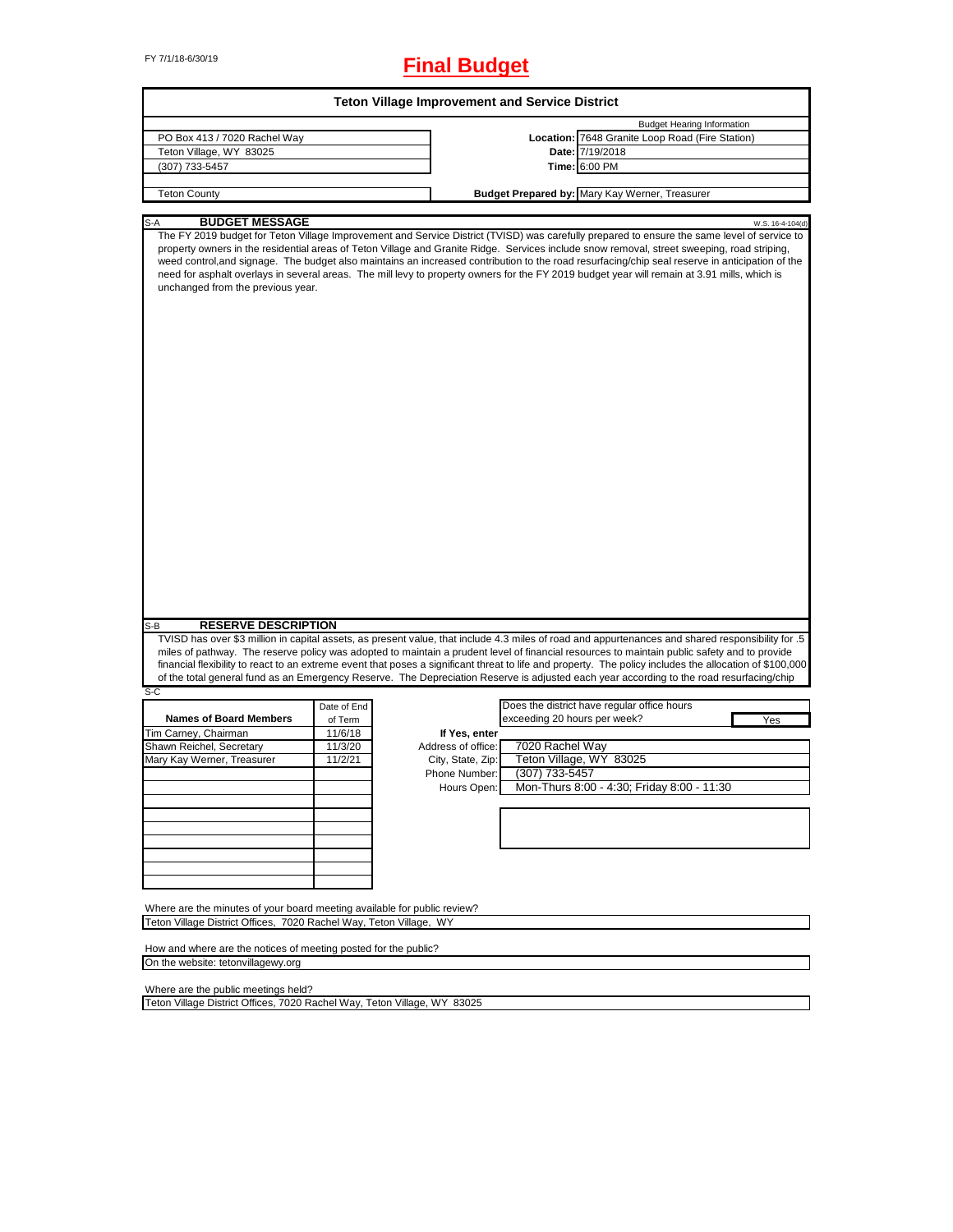# FY 7/1/18-6/30/19 **Final Budget**

| PO Box 413 / 7020 Rachel Way<br>Teton Village, WY 83025                                                                                                                                                                                                                                                                                                                                                                                                                                                                                                                                                                            |             |                    |                              |                                                                                      |                  |
|------------------------------------------------------------------------------------------------------------------------------------------------------------------------------------------------------------------------------------------------------------------------------------------------------------------------------------------------------------------------------------------------------------------------------------------------------------------------------------------------------------------------------------------------------------------------------------------------------------------------------------|-------------|--------------------|------------------------------|--------------------------------------------------------------------------------------|------------------|
|                                                                                                                                                                                                                                                                                                                                                                                                                                                                                                                                                                                                                                    |             |                    |                              | <b>Budget Hearing Information</b><br>Location: 7648 Granite Loop Road (Fire Station) |                  |
|                                                                                                                                                                                                                                                                                                                                                                                                                                                                                                                                                                                                                                    |             |                    |                              | Date: 7/19/2018                                                                      |                  |
| (307) 733-5457                                                                                                                                                                                                                                                                                                                                                                                                                                                                                                                                                                                                                     |             |                    |                              | Time: 6:00 PM                                                                        |                  |
|                                                                                                                                                                                                                                                                                                                                                                                                                                                                                                                                                                                                                                    |             |                    |                              |                                                                                      |                  |
| <b>Teton County</b>                                                                                                                                                                                                                                                                                                                                                                                                                                                                                                                                                                                                                |             |                    |                              | Budget Prepared by: Mary Kay Werner, Treasurer                                       |                  |
| <b>BUDGET MESSAGE</b><br>S-A                                                                                                                                                                                                                                                                                                                                                                                                                                                                                                                                                                                                       |             |                    |                              |                                                                                      | W.S. 16-4-104(d) |
| The FY 2019 budget for Teton Village Improvement and Service District (TVISD) was carefully prepared to ensure the same level of service to<br>property owners in the residential areas of Teton Village and Granite Ridge. Services include snow removal, street sweeping, road striping,<br>weed control, and signage. The budget also maintains an increased contribution to the road resurfacing/chip seal reserve in anticipation of the<br>need for asphalt overlays in several areas. The mill levy to property owners for the FY 2019 budget year will remain at 3.91 mills, which is<br>unchanged from the previous year. |             |                    |                              |                                                                                      |                  |
|                                                                                                                                                                                                                                                                                                                                                                                                                                                                                                                                                                                                                                    |             |                    |                              |                                                                                      |                  |
| <b>RESERVE DESCRIPTION</b>                                                                                                                                                                                                                                                                                                                                                                                                                                                                                                                                                                                                         |             |                    |                              |                                                                                      |                  |
|                                                                                                                                                                                                                                                                                                                                                                                                                                                                                                                                                                                                                                    |             |                    |                              |                                                                                      |                  |
|                                                                                                                                                                                                                                                                                                                                                                                                                                                                                                                                                                                                                                    | Date of End |                    |                              | Does the district have regular office hours                                          |                  |
| <b>Names of Board Members</b>                                                                                                                                                                                                                                                                                                                                                                                                                                                                                                                                                                                                      | of Term     |                    | exceeding 20 hours per week? |                                                                                      | Yes              |
|                                                                                                                                                                                                                                                                                                                                                                                                                                                                                                                                                                                                                                    | 11/6/18     | If Yes, enter      |                              |                                                                                      |                  |
|                                                                                                                                                                                                                                                                                                                                                                                                                                                                                                                                                                                                                                    | 11/3/20     | Address of office: | 7020 Rachel Way              |                                                                                      |                  |
| TVISD has over \$3 million in capital assets, as present value, that include 4.3 miles of road and appurtenances and shared responsibility for .5<br>miles of pathway. The reserve policy was adopted to maintain a prudent level of financial resources to maintain public safety and to provide<br>financial flexibility to react to an extreme event that poses a significant threat to life and property. The policy includes the allocation of \$100,000<br>of the total general fund as an Emergency Reserve. The Depreciation Reserve is adjusted each year according to the road resurfacing/chip                          | 11/2/21     | City, State, Zip:  |                              | Teton Village, WY 83025                                                              |                  |
|                                                                                                                                                                                                                                                                                                                                                                                                                                                                                                                                                                                                                                    |             | Phone Number:      | (307) 733-5457               |                                                                                      |                  |
|                                                                                                                                                                                                                                                                                                                                                                                                                                                                                                                                                                                                                                    |             | Hours Open:        |                              | Mon-Thurs 8:00 - 4:30; Friday 8:00 - 11:30                                           |                  |
|                                                                                                                                                                                                                                                                                                                                                                                                                                                                                                                                                                                                                                    |             |                    |                              |                                                                                      |                  |
|                                                                                                                                                                                                                                                                                                                                                                                                                                                                                                                                                                                                                                    |             |                    |                              |                                                                                      |                  |
|                                                                                                                                                                                                                                                                                                                                                                                                                                                                                                                                                                                                                                    |             |                    |                              |                                                                                      |                  |
| S-B<br>S-C<br>Tim Carney, Chairman<br>Shawn Reichel, Secretary<br>Mary Kay Werner, Treasurer                                                                                                                                                                                                                                                                                                                                                                                                                                                                                                                                       |             |                    |                              |                                                                                      |                  |
|                                                                                                                                                                                                                                                                                                                                                                                                                                                                                                                                                                                                                                    |             |                    |                              |                                                                                      |                  |
|                                                                                                                                                                                                                                                                                                                                                                                                                                                                                                                                                                                                                                    |             |                    |                              |                                                                                      |                  |
|                                                                                                                                                                                                                                                                                                                                                                                                                                                                                                                                                                                                                                    |             |                    |                              |                                                                                      |                  |
| Where are the minutes of your board meeting available for public review?<br>Teton Village District Offices, 7020 Rachel Way, Teton Village, WY                                                                                                                                                                                                                                                                                                                                                                                                                                                                                     |             |                    |                              |                                                                                      |                  |

٦

Where are the public meetings held?

Teton Village District Offices, 7020 Rachel Way, Teton Village, WY 83025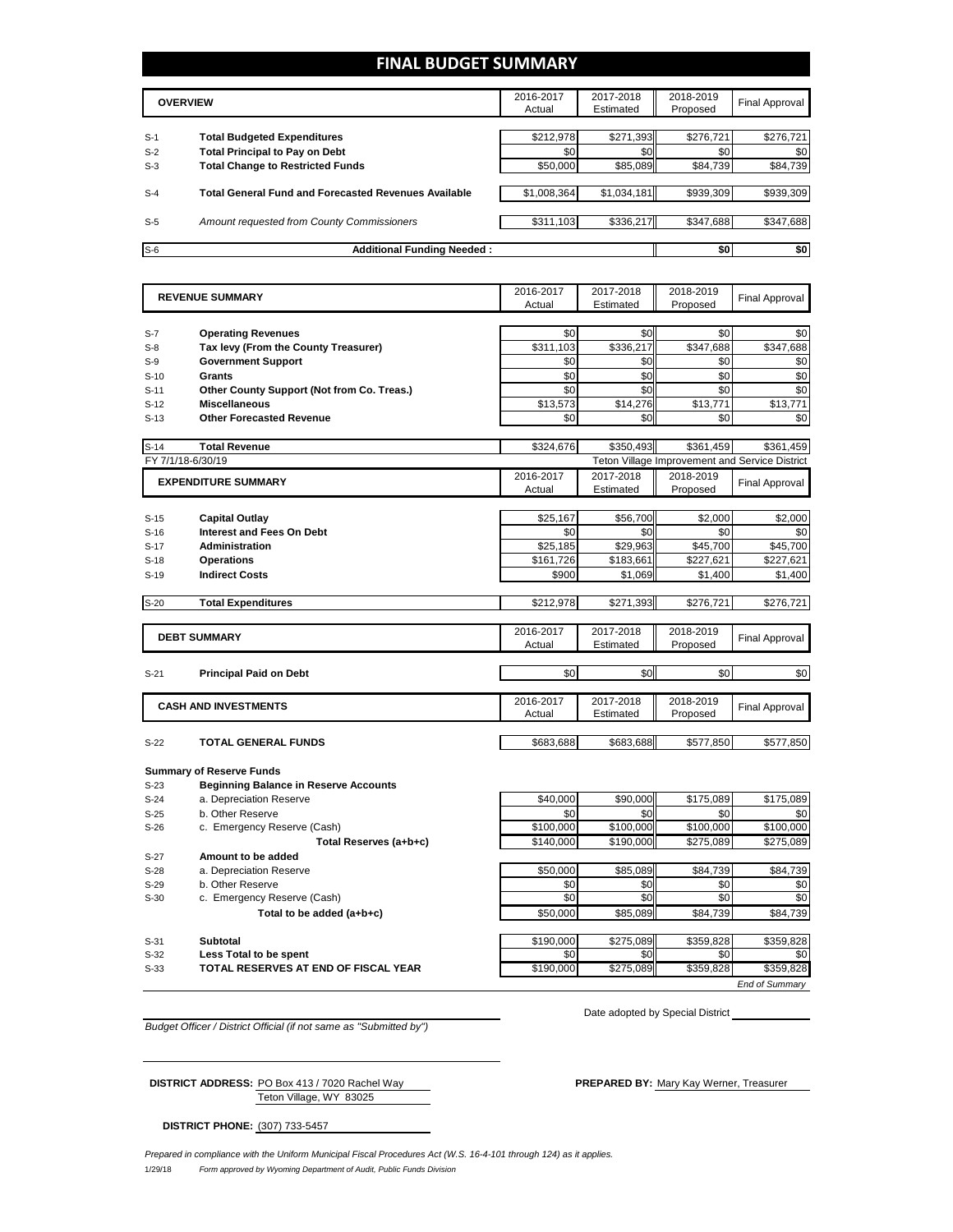# **FINAL BUDGET SUMMARY**

|       | <b>OVERVIEW</b>                                             | 2016-2017<br>Actual | 2017-2018<br>Estimated | 2018-2019<br>Proposed | <b>Final Approval</b> |
|-------|-------------------------------------------------------------|---------------------|------------------------|-----------------------|-----------------------|
|       |                                                             |                     |                        |                       |                       |
| $S-1$ | <b>Total Budgeted Expenditures</b>                          | \$212.978           | \$271.393              | \$276.721             | \$276,721             |
| $S-2$ | <b>Total Principal to Pay on Debt</b>                       | \$0                 | \$0 <sub>1</sub>       | \$0                   | \$0                   |
| $S-3$ | <b>Total Change to Restricted Funds</b>                     | \$50,000            | \$85,089               | \$84,739              | \$84,739              |
|       |                                                             |                     |                        |                       |                       |
| $S-4$ | <b>Total General Fund and Forecasted Revenues Available</b> | \$1,008,364         | \$1,034,181            | \$939,309             | \$939,309             |
| $S-5$ | Amount requested from County Commissioners                  | \$311,103           | \$336,217              | \$347.688             | \$347,688             |
|       |                                                             |                     |                        |                       |                       |
| $S-6$ | <b>Additional Funding Needed:</b>                           |                     |                        | \$0                   | \$0                   |

|        | <b>REVENUE SUMMARY</b>                       | 2016-2017 | 2017-2018 | 2018-2019 | <b>Final Approval</b>                          |
|--------|----------------------------------------------|-----------|-----------|-----------|------------------------------------------------|
|        |                                              | Actual    | Estimated | Proposed  |                                                |
|        |                                              |           |           |           |                                                |
| $S-7$  | <b>Operating Revenues</b>                    | \$0       | \$0       | \$0       | \$0                                            |
| $S-8$  | Tax levy (From the County Treasurer)         | \$311,103 | \$336,217 | \$347,688 | \$347,688                                      |
| $S-9$  | <b>Government Support</b>                    | \$0       | \$0       | \$0       | \$0                                            |
| $S-10$ | Grants                                       | \$0       | \$0       | \$0       | \$0                                            |
| $S-11$ | Other County Support (Not from Co. Treas.)   | \$0       | \$0       | \$0       | \$0                                            |
| $S-12$ | <b>Miscellaneous</b>                         | \$13,573  | \$14,276  | \$13,771  | \$13,771                                       |
| $S-13$ | <b>Other Forecasted Revenue</b>              | \$0       | \$0       | \$0       | \$0                                            |
|        |                                              |           |           |           |                                                |
| $S-14$ | <b>Total Revenue</b>                         | \$324,676 | \$350,493 | \$361,459 | \$361,459                                      |
|        | FY 7/1/18-6/30/19                            |           |           |           | Teton Village Improvement and Service District |
|        | <b>EXPENDITURE SUMMARY</b>                   | 2016-2017 | 2017-2018 | 2018-2019 | <b>Final Approval</b>                          |
|        |                                              | Actual    | Estimated | Proposed  |                                                |
|        |                                              |           |           |           |                                                |
| $S-15$ | <b>Capital Outlay</b>                        | \$25,167  | \$56,700  | \$2.000   | \$2,000                                        |
| $S-16$ | <b>Interest and Fees On Debt</b>             | \$0       | \$0       | \$0       | \$0                                            |
| $S-17$ | <b>Administration</b>                        | \$25,185  | \$29,963  | \$45,700  | \$45,700                                       |
| $S-18$ | <b>Operations</b>                            | \$161,726 | \$183,661 | \$227,621 | \$227,621                                      |
| $S-19$ | <b>Indirect Costs</b>                        | \$900     | \$1,069   | \$1,400   | \$1,400                                        |
|        |                                              |           |           |           |                                                |
| $S-20$ | <b>Total Expenditures</b>                    | \$212,978 | \$271,393 | \$276,721 | \$276,721                                      |
|        |                                              |           |           |           |                                                |
|        | <b>DEBT SUMMARY</b>                          | 2016-2017 | 2017-2018 | 2018-2019 | <b>Final Approval</b>                          |
|        |                                              | Actual    | Estimated | Proposed  |                                                |
|        |                                              |           |           |           |                                                |
| $S-21$ | <b>Principal Paid on Debt</b>                | \$0       | \$0       | \$0       | \$0                                            |
|        |                                              |           |           |           |                                                |
|        | <b>CASH AND INVESTMENTS</b>                  | 2016-2017 | 2017-2018 | 2018-2019 | <b>Final Approval</b>                          |
|        |                                              | Actual    | Estimated | Proposed  |                                                |
|        |                                              |           |           |           |                                                |
| $S-22$ | <b>TOTAL GENERAL FUNDS</b>                   | \$683,688 | \$683,688 | \$577,850 | \$577,850                                      |
|        |                                              |           |           |           |                                                |
|        | <b>Summary of Reserve Funds</b>              |           |           |           |                                                |
| $S-23$ | <b>Beginning Balance in Reserve Accounts</b> |           |           |           |                                                |
| $S-24$ | a. Depreciation Reserve                      | \$40,000  | \$90,000  | \$175,089 | \$175,089                                      |
| $S-25$ | b. Other Reserve                             | \$0       | \$0       | \$0       | \$0                                            |
| $S-26$ | c. Emergency Reserve (Cash)                  | \$100,000 | \$100,000 | \$100,000 | \$100,000                                      |
|        | Total Reserves (a+b+c)                       | \$140,000 | \$190,000 | \$275,089 | \$275,089                                      |
| $S-27$ | Amount to be added                           |           |           |           |                                                |
| $S-28$ | a. Depreciation Reserve                      | \$50,000  | \$85,089  | \$84,739  | \$84,739                                       |
| $S-29$ | b. Other Reserve                             | \$0       | \$0       | \$0       | \$0                                            |
| $S-30$ | c. Emergency Reserve (Cash)                  | \$0       | \$0       | \$0       | \$0                                            |
|        | Total to be added (a+b+c)                    | \$50.000  | \$85.089  | \$84.739  | \$84.739                                       |
|        |                                              |           |           |           |                                                |
| $S-31$ | Subtotal                                     | \$190,000 | \$275,089 | \$359,828 | \$359,828                                      |

S-32 **Less Total to be spent** \$0 \$0 \$0 \$0

**S-33 TOTAL RESERVES AT END OF FISCAL YEAR 1990,000** \$275,089 \$359,828 \$359,828

Date adopted by Special District

*End of Summary*

*Budget Officer / District Official (if not same as "Submitted by")*

Teton Village, WY 83025 **DISTRICT ADDRESS:** PO Box 413 / 7020 Rachel Way **PREPARED BY:** Mary Kay Werner, Treasurer

**DISTRICT PHONE:** (307) 733-5457

1/29/18 *Form approved by Wyoming Department of Audit, Public Funds Division Prepared in compliance with the Uniform Municipal Fiscal Procedures Act (W.S. 16-4-101 through 124) as it applies.*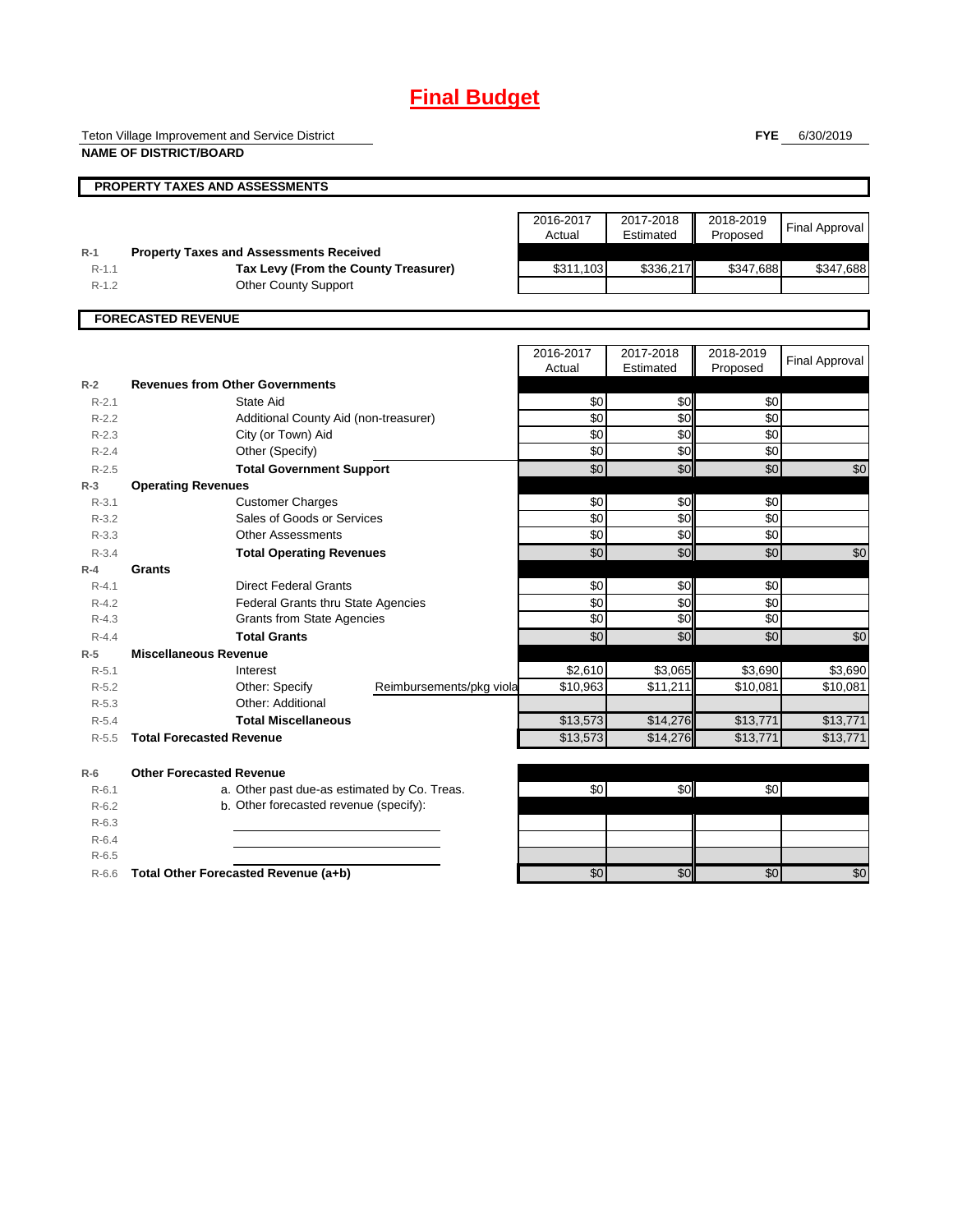# **Final Budget**

Teton Village Improvement and Service District

**NAME OF DISTRICT/BOARD**

**FYE** 6/30/2019

|                        | <b>PROPERTY TAXES AND ASSESSMENTS</b>                    |                          |                     |                        |                       |                       |
|------------------------|----------------------------------------------------------|--------------------------|---------------------|------------------------|-----------------------|-----------------------|
|                        |                                                          |                          |                     |                        |                       |                       |
|                        |                                                          |                          | 2016-2017<br>Actual | 2017-2018<br>Estimated | 2018-2019<br>Proposed | <b>Final Approval</b> |
| $R-1$                  | <b>Property Taxes and Assessments Received</b>           |                          |                     |                        |                       |                       |
| $R-1.1$                | Tax Levy (From the County Treasurer)                     |                          | \$311,103           | \$336,217              | \$347,688             | \$347,688             |
| $R-1.2$                | Other County Support                                     |                          |                     |                        |                       |                       |
|                        |                                                          |                          |                     |                        |                       |                       |
|                        | <b>FORECASTED REVENUE</b>                                |                          |                     |                        |                       |                       |
|                        |                                                          |                          |                     |                        |                       |                       |
|                        |                                                          |                          | 2016-2017           | 2017-2018              | 2018-2019             | <b>Final Approval</b> |
| $R-2$                  | <b>Revenues from Other Governments</b>                   |                          | Actual              | Estimated              | Proposed              |                       |
| $R - 2.1$              | State Aid                                                |                          | \$0                 | \$0                    | \$0                   |                       |
| $R-2.2$                | Additional County Aid (non-treasurer)                    |                          | $\overline{30}$     | $\overline{50}$        | $\overline{30}$       |                       |
| $R - 2.3$              | City (or Town) Aid                                       |                          | \$0                 | \$0                    | \$0                   |                       |
| $R - 2.4$              | Other (Specify)                                          |                          | \$0                 | \$0                    | \$0                   |                       |
| $R - 2.5$              | <b>Total Government Support</b>                          |                          | \$0                 | \$0                    | \$0                   | \$0                   |
| $R-3$                  | <b>Operating Revenues</b>                                |                          |                     |                        |                       |                       |
| $R - 3.1$              | <b>Customer Charges</b>                                  |                          | \$0                 | \$0                    | \$0                   |                       |
| $R-3.2$                | Sales of Goods or Services                               |                          | \$0                 | \$0                    | \$0                   |                       |
| $R - 3.3$              | <b>Other Assessments</b>                                 |                          | \$0                 | \$0                    | \$0                   |                       |
| $R - 3.4$              | <b>Total Operating Revenues</b>                          |                          | \$0                 | $\overline{50}$        | \$0                   | \$0                   |
| $R-4$                  | Grants                                                   |                          |                     |                        |                       |                       |
| $R - 4.1$              | <b>Direct Federal Grants</b>                             |                          | \$0                 | \$0                    | \$0                   |                       |
| $R - 4.2$              | <b>Federal Grants thru State Agencies</b>                |                          | \$0<br>\$0          | \$0<br>\$0             | \$0<br>\$0            |                       |
| $R - 4.3$<br>$R - 4.4$ | <b>Grants from State Agencies</b><br><b>Total Grants</b> |                          | \$0                 | \$0                    | \$0                   | \$0                   |
| $R-5$                  | <b>Miscellaneous Revenue</b>                             |                          |                     |                        |                       |                       |
| $R - 5.1$              | Interest                                                 |                          | \$2,610             | \$3,065                | \$3,690               | \$3,690               |
| $R-5.2$                | Other: Specify                                           | Reimbursements/pkg viola | \$10,963            | \$11,211               | \$10,081              | \$10,081              |
| $R - 5.3$              | Other: Additional                                        |                          |                     |                        |                       |                       |
| $R-5.4$                | <b>Total Miscellaneous</b>                               |                          | \$13,573            | \$14,276               | \$13,771              | \$13,771              |
| $R - 5.5$              | <b>Total Forecasted Revenue</b>                          |                          | \$13,573            | \$14,276               | \$13,771              | \$13,771              |
| $R-6$                  | <b>Other Forecasted Revenue</b>                          |                          |                     |                        |                       |                       |
| $R-6.1$                | a. Other past due-as estimated by Co. Treas.             |                          | \$0                 | \$0                    | \$0                   |                       |
| $R-6.2$                | b. Other forecasted revenue (specify):                   |                          |                     |                        |                       |                       |
| $R-6.3$                |                                                          |                          |                     |                        |                       |                       |
| $R-6.4$                |                                                          |                          |                     |                        |                       |                       |
| $R-6.5$                |                                                          |                          |                     |                        |                       |                       |
| $R-6.6$                | Total Other Forecasted Revenue (a+b)                     |                          | \$0                 | \$0                    | \$0                   | \$0                   |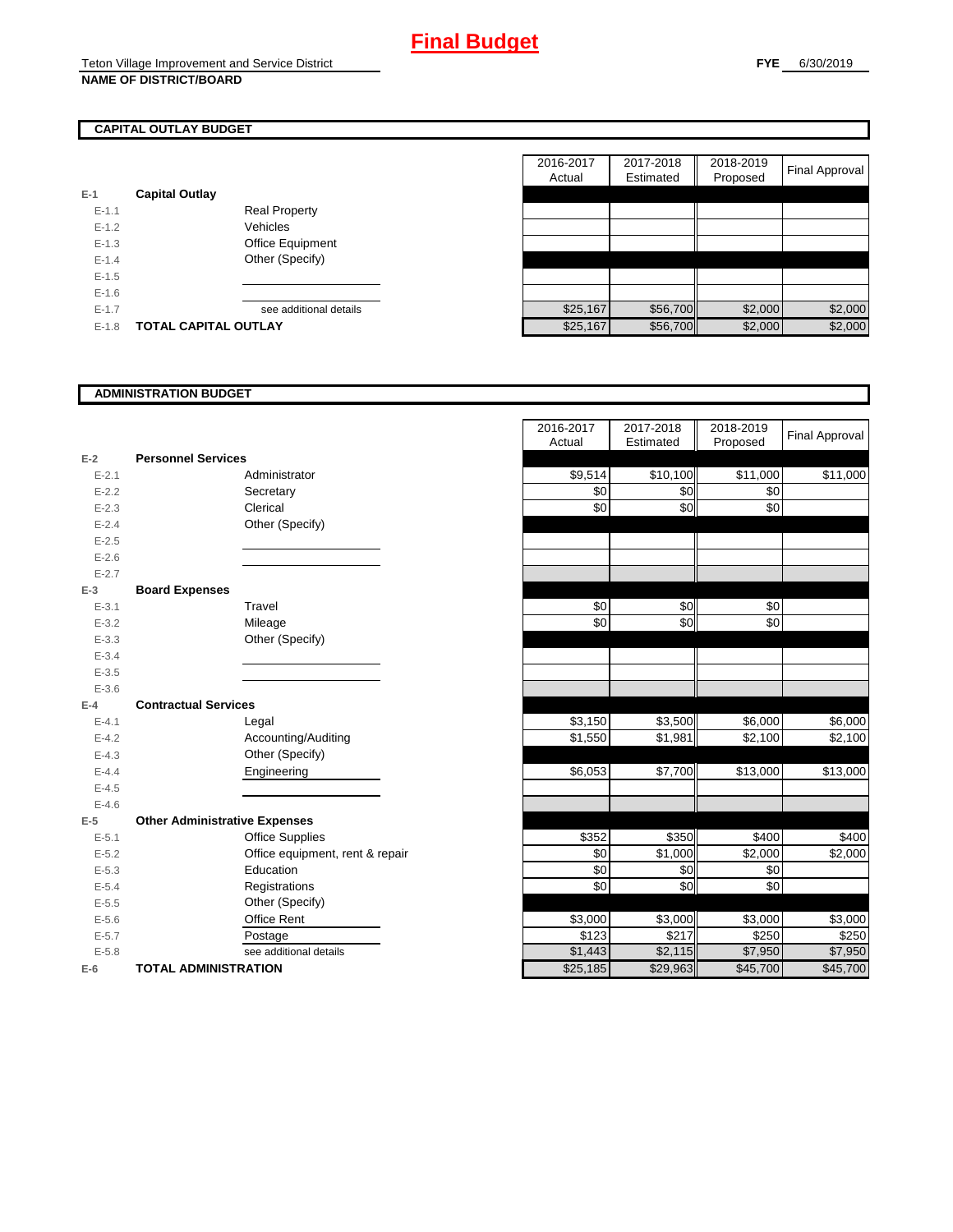# **CAPITAL OUTLAY BUDGET**

| $E-1$     | <b>Capital Outlay</b> |                        |
|-----------|-----------------------|------------------------|
| $F-11$    |                       | <b>Real Property</b>   |
| $F-12$    |                       | Vehicles               |
| $F-1.3$   |                       | Office Equipment       |
| $F-14$    |                       | Other (Specify)        |
| $E - 1.5$ |                       |                        |
| $F-16$    |                       |                        |
| $F-17$    |                       | see additional details |
| $F-1.8$   | TOTAL CAPITAL OUTLAY  |                        |

|           |                             |                        | 2016-2017 | 2017-2018 | 2018-2019 |                |
|-----------|-----------------------------|------------------------|-----------|-----------|-----------|----------------|
|           |                             |                        | Actual    | Estimated | Proposed  | Final Approval |
|           | <b>Capital Outlay</b>       |                        |           |           |           |                |
| $E - 1.1$ |                             | <b>Real Property</b>   |           |           |           |                |
| $E - 1.2$ |                             | Vehicles               |           |           |           |                |
| $E-1.3$   |                             | Office Equipment       |           |           |           |                |
| $E - 1.4$ |                             | Other (Specify)        |           |           |           |                |
| $E-1.5$   |                             |                        |           |           |           |                |
| $E-1.6$   |                             |                        |           |           |           |                |
| $E - 1.7$ |                             | see additional details | \$25,167  | \$56,700  | \$2,000   | \$2,000        |
| $E-1.8$   | <b>TOTAL CAPITAL OUTLAY</b> |                        | \$25,167  | \$56,700  | \$2,000   | \$2,000        |

#### **ADMINISTRATION BUDGET**

|           |                                      |                                 | Auuai    | Esumateu | <b>FIUPUSEU</b> |
|-----------|--------------------------------------|---------------------------------|----------|----------|-----------------|
| $E-2$     | <b>Personnel Services</b>            |                                 |          |          |                 |
| $E - 2.1$ |                                      | Administrator                   | \$9,514  | \$10,100 | \$11,000        |
| $E-2.2$   |                                      | Secretary                       | \$0      | \$0      | \$0             |
| $E - 2.3$ |                                      | Clerical                        | \$0      | \$0      | \$0             |
| $E - 2.4$ |                                      | Other (Specify)                 |          |          |                 |
| $E-2.5$   |                                      |                                 |          |          |                 |
| $E - 2.6$ |                                      |                                 |          |          |                 |
| $E - 2.7$ |                                      |                                 |          |          |                 |
| $E-3$     | <b>Board Expenses</b>                |                                 |          |          |                 |
| $E - 3.1$ |                                      | Travel                          | \$0      | \$0      | \$0             |
| $E - 3.2$ |                                      | Mileage                         | \$0      | \$0      | \$0             |
| $E - 3.3$ |                                      | Other (Specify)                 |          |          |                 |
| $E - 3.4$ |                                      |                                 |          |          |                 |
| $E - 3.5$ |                                      |                                 |          |          |                 |
| $E - 3.6$ |                                      |                                 |          |          |                 |
| $E-4$     | <b>Contractual Services</b>          |                                 |          |          |                 |
| $E - 4.1$ |                                      | Legal                           | \$3,150  | \$3,500  | \$6,000         |
| $E - 4.2$ |                                      | Accounting/Auditing             | \$1,550  | \$1,981  | \$2,100         |
| $E - 4.3$ |                                      | Other (Specify)                 |          |          |                 |
| $E - 4.4$ |                                      | Engineering                     | \$6,053  | \$7,700  | \$13,000        |
| $E - 4.5$ |                                      |                                 |          |          |                 |
| $E-4.6$   |                                      |                                 |          |          |                 |
| $E-5$     | <b>Other Administrative Expenses</b> |                                 |          |          |                 |
| $E - 5.1$ |                                      | <b>Office Supplies</b>          | \$352    | \$350    | \$400           |
| $E - 5.2$ |                                      | Office equipment, rent & repair | \$0      | \$1,000  | \$2,000         |
| $E-5.3$   |                                      | Education                       | \$0      | \$0      | \$0             |
| $E - 5.4$ |                                      | Registrations                   | \$0      | \$0      | \$0             |
| $E-5.5$   |                                      | Other (Specify)                 |          |          |                 |
| $E-5.6$   |                                      | Office Rent                     | \$3,000  | \$3,000  | \$3,000         |
| $E - 5.7$ |                                      | Postage                         | \$123    | \$217    | \$250           |
| $E - 5.8$ |                                      | see additional details          | \$1,443  | \$2,115  | \$7,950         |
| $E-6$     | <b>TOTAL ADMINISTRATION</b>          |                                 | \$25,185 | \$29,963 | \$45,700        |

|           |                                      | 2016-2017 | 2017-2018           | 2018-2019           | <b>Final Approval</b> |
|-----------|--------------------------------------|-----------|---------------------|---------------------|-----------------------|
|           |                                      | Actual    | Estimated           | Proposed            |                       |
| $E-2$     | <b>Personnel Services</b>            |           |                     |                     |                       |
| $E - 2.1$ | Administrator                        | \$9,514   | \$10,100            | \$11,000            | \$11,000              |
| $E - 2.2$ | Secretary                            | \$0       | \$0                 | \$0                 |                       |
| $E - 2.3$ | Clerical                             | \$0       | \$0                 | \$0                 |                       |
| $E - 2.4$ | Other (Specify)                      |           |                     |                     |                       |
| $E - 2.5$ |                                      |           |                     |                     |                       |
| $E - 2.6$ |                                      |           |                     |                     |                       |
| $E - 2.7$ |                                      |           |                     |                     |                       |
| $E-3$     | <b>Board Expenses</b>                |           |                     |                     |                       |
| $E - 3.1$ | Travel                               | \$0       | \$0                 | \$0                 |                       |
| $E - 3.2$ | Mileage                              | \$0       | \$0                 | \$0                 |                       |
| $E - 3.3$ | Other (Specify)                      |           |                     |                     |                       |
| $E - 3.4$ |                                      |           |                     |                     |                       |
| $E - 3.5$ |                                      |           |                     |                     |                       |
| $E - 3.6$ |                                      |           |                     |                     |                       |
| $E-4$     | <b>Contractual Services</b>          |           |                     |                     |                       |
| $E - 4.1$ | Legal                                | \$3,150   | \$3,500             | \$6,000             | \$6,000               |
| $E - 4.2$ | Accounting/Auditing                  | \$1,550   | \$1,981             | \$2,100             | \$2,100               |
| $E - 4.3$ | Other (Specify)                      |           |                     |                     |                       |
| $E - 4.4$ | Engineering                          | \$6,053   | \$7,700             | \$13,000            | \$13,000              |
| $E-4.5$   |                                      |           |                     |                     |                       |
| $E - 4.6$ |                                      |           |                     |                     |                       |
| $E-5$     | <b>Other Administrative Expenses</b> |           |                     |                     |                       |
| $E - 5.1$ | <b>Office Supplies</b>               | \$352     | \$350               | \$400               | \$400                 |
| $E - 5.2$ | Office equipment, rent & repair      | \$0       | $\overline{$}1,000$ | \$2,000             | \$2,000               |
| $E - 5.3$ | Education                            | \$0       | \$0                 | \$0                 |                       |
| $E - 5.4$ | Registrations                        | \$0       | \$0                 | \$0                 |                       |
| $E - 5.5$ | Other (Specify)                      |           |                     |                     |                       |
| $E-5.6$   | Office Rent                          | \$3,000   | \$3,000             | \$3,000             | \$3,000               |
| $E - 5.7$ | Postage                              | \$123     | \$217               | \$250               | \$250                 |
| $E - 5.8$ | see additional details               | \$1,443   | \$2,115             | $\overline{$7,950}$ | $\overline{$7,950}$   |
| $E-6$     | <b>TOTAL ADMINISTRATION</b>          | \$25,185  | \$29,963            | \$45,700            | \$45,700              |
|           |                                      |           |                     |                     |                       |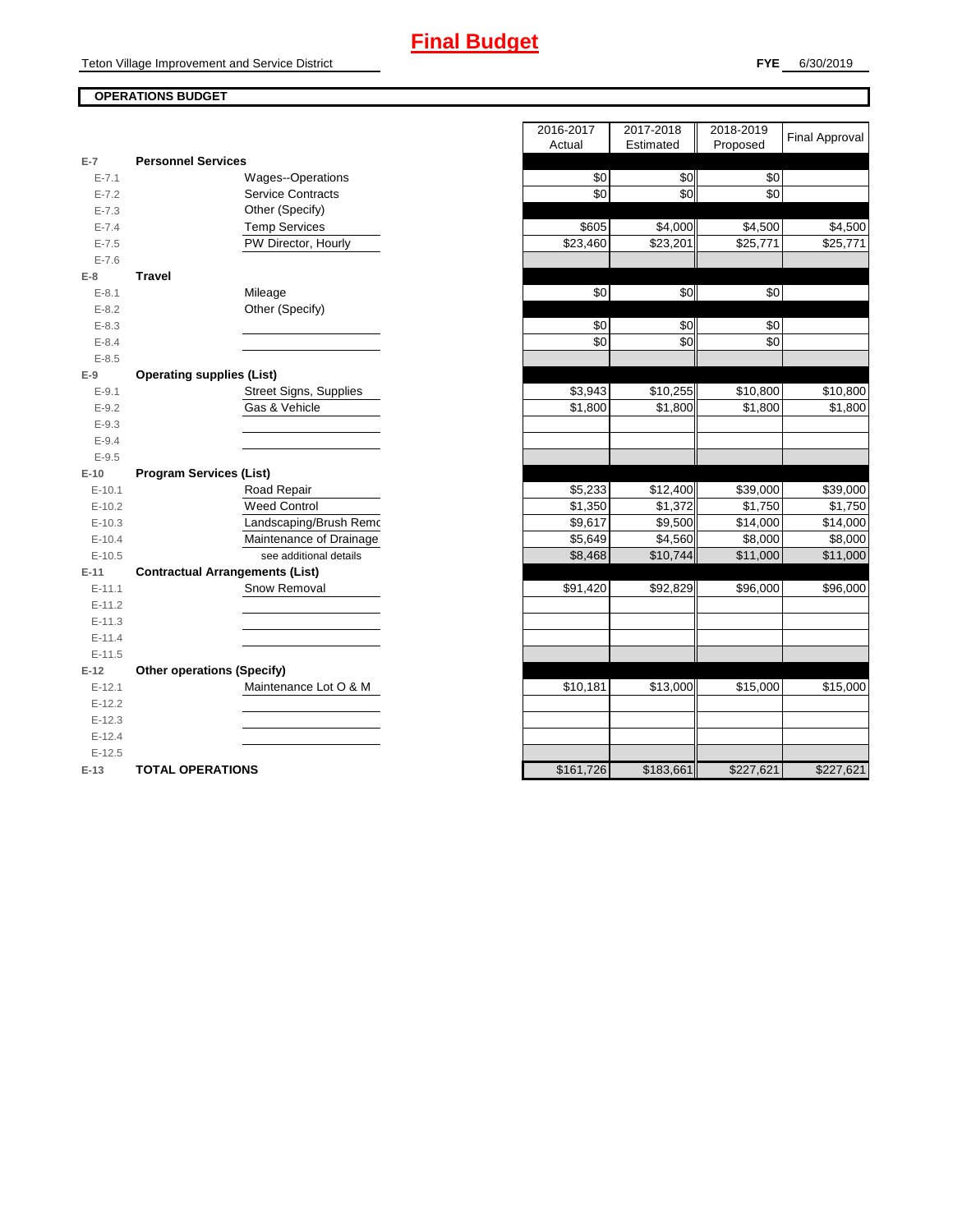# **FYE** 6/30/2019

# **OPERATIONS BUDGET**

|           |                                        | $\cdots$  | $-$       |           |
|-----------|----------------------------------------|-----------|-----------|-----------|
| $E-7$     | <b>Personnel Services</b>              |           |           |           |
| $E - 7.1$ | Wages--Operations                      | \$0       | \$0       | \$0       |
| $E - 7.2$ | <b>Service Contracts</b>               | \$0       | \$0       | \$0       |
| $E - 7.3$ | Other (Specify)                        |           |           |           |
| $E - 7.4$ | <b>Temp Services</b>                   | \$605     | \$4,000   | \$4,500   |
| $E - 7.5$ | PW Director, Hourly                    | \$23,460  | \$23,201  | \$25,771  |
| $E - 7.6$ |                                        |           |           |           |
| $E-8$     | <b>Travel</b>                          |           |           |           |
| $E - 8.1$ | Mileage                                | \$0       | \$0       | \$0       |
| $E - 8.2$ | Other (Specify)                        |           |           |           |
| $E - 8.3$ |                                        | \$0       | \$0       | \$0       |
| $E - 8.4$ |                                        | \$0       | \$0       | \$0       |
| $E - 8.5$ |                                        |           |           |           |
| $E-9$     | <b>Operating supplies (List)</b>       |           |           |           |
| $E - 9.1$ | Street Signs, Supplies                 | \$3,943   | \$10,255  | \$10,800  |
| $E - 9.2$ | Gas & Vehicle                          | \$1,800   | \$1,800   | \$1,800   |
| $E-9.3$   |                                        |           |           |           |
| $E - 9.4$ |                                        |           |           |           |
| $E - 9.5$ |                                        |           |           |           |
| $E-10$    | <b>Program Services (List)</b>         |           |           |           |
| $E-10.1$  | Road Repair                            | \$5,233   | \$12,400  | \$39,000  |
| $E-10.2$  | <b>Weed Control</b>                    | \$1,350   | \$1,372   | \$1,750   |
| $E-10.3$  | Landscaping/Brush Remo                 | \$9,617   | \$9,500   | \$14,000  |
| $E-10.4$  | Maintenance of Drainage                | \$5,649   | \$4,560   | \$8,000   |
| $E-10.5$  | see additional details                 | \$8,468   | \$10,744  | \$11,000  |
| $E-11$    | <b>Contractual Arrangements (List)</b> |           |           |           |
| $E-11.1$  | Snow Removal                           | \$91,420  | \$92,829  | \$96,000  |
| $E-11.2$  |                                        |           |           |           |
| $E-11.3$  |                                        |           |           |           |
| $E-11.4$  |                                        |           |           |           |
| $E-11.5$  |                                        |           |           |           |
| $E-12$    | <b>Other operations (Specify)</b>      |           |           |           |
| $E-12.1$  | Maintenance Lot O & M                  | \$10,181  | \$13,000  | \$15,000  |
| $E-12.2$  |                                        |           |           |           |
| $E-12.3$  |                                        |           |           |           |
| $E-12.4$  |                                        |           |           |           |
| $E-12.5$  |                                        |           |           |           |
| $E-13$    | <b>TOTAL OPERATIONS</b>                | \$161,726 | \$183,661 | \$227,621 |
|           |                                        |           |           |           |

|                |                                        | 2016-2017<br>Actual | 2017-2018<br>Estimated | 2018-2019<br>Proposed | <b>Final Approval</b> |
|----------------|----------------------------------------|---------------------|------------------------|-----------------------|-----------------------|
| $\overline{7}$ | <b>Personnel Services</b>              |                     |                        |                       |                       |
| $E - 7.1$      | <b>Wages--Operations</b>               | \$0                 | \$0                    | \$0                   |                       |
| $E - 7.2$      | <b>Service Contracts</b>               | \$0                 | \$0                    | \$0                   |                       |
| $E - 7.3$      | Other (Specify)                        |                     |                        |                       |                       |
| $E - 7.4$      | <b>Temp Services</b>                   | \$605               | \$4,000                | \$4,500               | \$4,500               |
| $E - 7.5$      | PW Director, Hourly                    | \$23,460            | \$23,201               | \$25,771              | $\overline{$}25,771$  |
| $E - 7.6$      |                                        |                     |                        |                       |                       |
| 8              | <b>Travel</b>                          |                     |                        |                       |                       |
| $E - 8.1$      | Mileage                                | \$0                 | \$0                    | \$0                   |                       |
| $E - 8.2$      | Other (Specify)                        |                     |                        |                       |                       |
| $E - 8.3$      |                                        | \$0                 | \$0                    | \$0                   |                       |
| $E - 8.4$      |                                        | \$0                 | \$0                    | \$0                   |                       |
| $E-8.5$        |                                        |                     |                        |                       |                       |
| 9              | <b>Operating supplies (List)</b>       |                     |                        |                       |                       |
| $E-9.1$        | <b>Street Signs, Supplies</b>          | \$3,943             | \$10,255               | \$10,800              | \$10,800              |
| $E - 9.2$      | Gas & Vehicle                          | \$1,800             | \$1,800                | \$1,800               | \$1,800               |
| $E - 9.3$      |                                        |                     |                        |                       |                       |
| $E - 9.4$      |                                        |                     |                        |                       |                       |
| $E-9.5$        |                                        |                     |                        |                       |                       |
| $10^{\circ}$   | <b>Program Services (List)</b>         |                     |                        |                       |                       |
| $E-10.1$       | Road Repair                            | \$5,233             | \$12,400               | \$39,000              | \$39,000              |
| $E-10.2$       | <b>Weed Control</b>                    | \$1,350             | \$1,372                | \$1,750               | \$1,750               |
| $E-10.3$       | Landscaping/Brush Remo                 | \$9,617             | \$9,500                | \$14,000              | \$14,000              |
| $E-10.4$       | Maintenance of Drainage                | \$5,649             | \$4,560                | \$8,000               | \$8,000               |
| $E-10.5$       | see additional details                 | \$8,468             | \$10,744               | \$11,000              | \$11,000              |
| $-11$          | <b>Contractual Arrangements (List)</b> |                     |                        |                       |                       |
| $E-11.1$       | Snow Removal                           | \$91,420            | \$92,829               | \$96,000              | \$96,000              |
| $E-11.2$       |                                        |                     |                        |                       |                       |
| $E-11.3$       |                                        |                     |                        |                       |                       |
| $E-11.4$       |                                        |                     |                        |                       |                       |
| $E-11.5$       |                                        |                     |                        |                       |                       |
| 12             | <b>Other operations (Specify)</b>      |                     |                        |                       |                       |
| $E-12.1$       | Maintenance Lot O & M                  | \$10,181            | \$13,000               | \$15,000              | \$15,000              |
| $E-12.2$       |                                        |                     |                        |                       |                       |
| $E-12.3$       |                                        |                     |                        |                       |                       |
| $E-12.4$       |                                        |                     |                        |                       |                       |
| $E-12.5$       |                                        |                     |                        |                       |                       |
| $-13$          | <b>TOTAL OPERATIONS</b>                | \$161,726           | \$183,661              | \$227,621             | \$227,621             |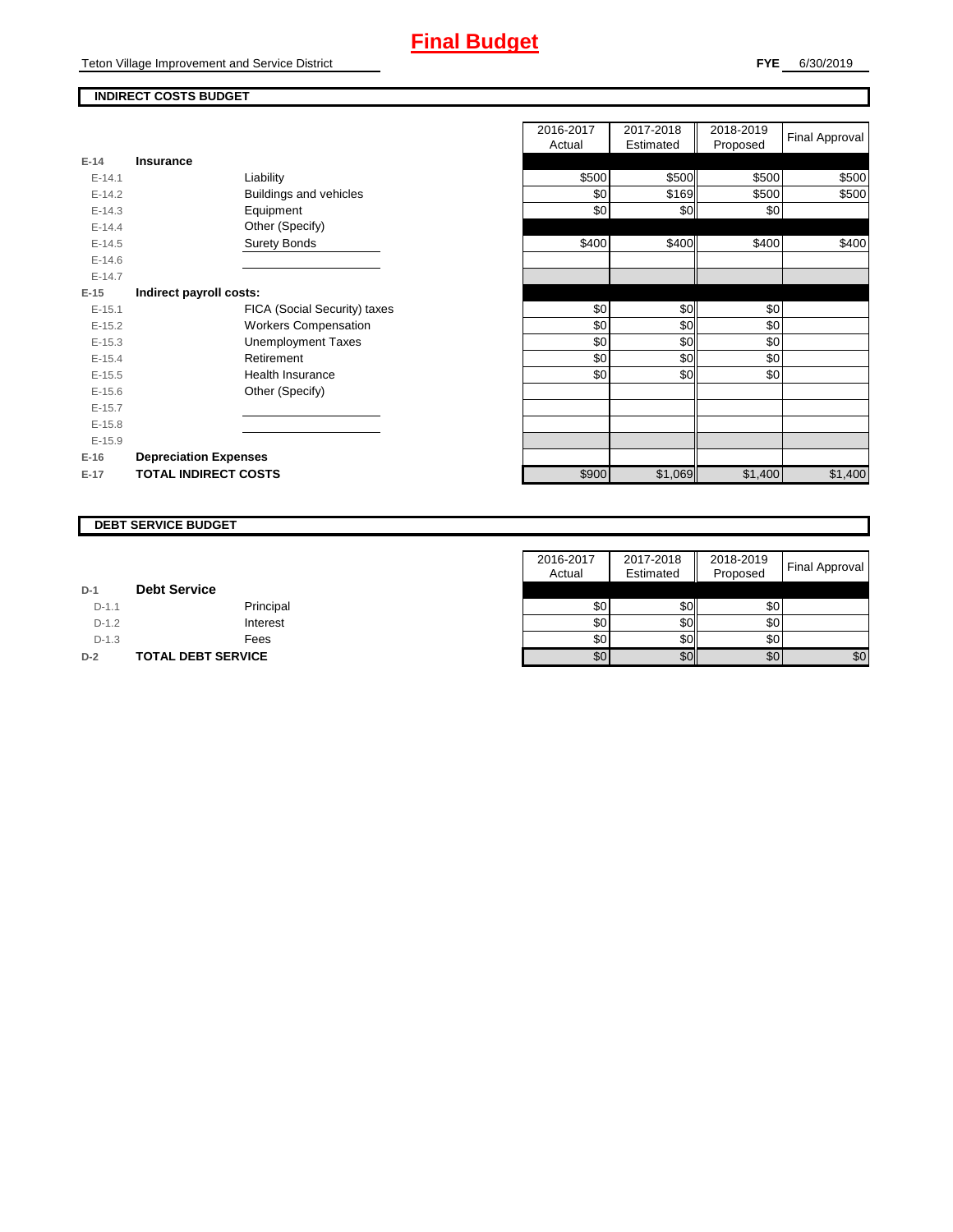Teton Village Improvement and Service District

# **INDIRECT COSTS BUDGET**

| <b>PIODOSEG</b> |
|-----------------|
|                 |
| \$500<br>\$500  |
| \$169<br>\$500  |
| \$0<br>\$0      |
|                 |
| \$400<br>\$400  |
|                 |
|                 |
|                 |
| \$0<br>\$0      |
| \$0<br>\$0      |
| \$0<br>\$0      |
| \$0<br>\$0      |
| \$0             |
|                 |
|                 |
|                 |
|                 |
|                 |
| \$1,400         |
| \$0<br>\$1,069  |

|          |                               | 2016-2017<br>Actual | 2017-2018<br>Estimated | 2018-2019<br>Proposed | Final Approval |
|----------|-------------------------------|---------------------|------------------------|-----------------------|----------------|
| $E-14$   | Insurance                     |                     |                        |                       |                |
| $E-14.1$ | Liability                     | \$500               | \$500                  | \$500                 | \$500          |
| $E-14.2$ | <b>Buildings and vehicles</b> | \$0                 | \$169                  | \$500                 | \$500          |
| $E-14.3$ | Equipment                     | \$0                 | \$0                    | \$0                   |                |
| $E-14.4$ | Other (Specify)               |                     |                        |                       |                |
| $E-14.5$ | <b>Surety Bonds</b>           | \$400               | \$400                  | \$400                 | \$400          |
| $E-14.6$ |                               |                     |                        |                       |                |
| $E-14.7$ |                               |                     |                        |                       |                |
| $E-15$   | Indirect payroll costs:       |                     |                        |                       |                |
| $E-15.1$ | FICA (Social Security) taxes  | \$0                 | \$0                    | \$0                   |                |
| $E-15.2$ | <b>Workers Compensation</b>   | \$0                 | \$0                    | \$0                   |                |
| $E-15.3$ | <b>Unemployment Taxes</b>     | \$0                 | \$0                    | \$0                   |                |
| $E-15.4$ | Retirement                    | \$0                 | \$0                    | \$0                   |                |
| $E-15.5$ | Health Insurance              | \$0                 | \$0                    | \$0                   |                |
| $E-15.6$ | Other (Specify)               |                     |                        |                       |                |
| $E-15.7$ |                               |                     |                        |                       |                |
| $E-15.8$ |                               |                     |                        |                       |                |
| $E-15.9$ |                               |                     |                        |                       |                |
| $E-16$   | <b>Depreciation Expenses</b>  |                     |                        |                       |                |
| $E-17$   | <b>TOTAL INDIRECT COSTS</b>   | \$900               | \$1,069                | \$1,400               | \$1,400        |
|          |                               |                     |                        |                       |                |

#### **DEBT SERVICE BUDGET**

|         |                           | 2016-2017 | 2017-2018 | 2018-2019 |                |
|---------|---------------------------|-----------|-----------|-----------|----------------|
|         |                           | Actual    | Estimated | Proposed  | Final Approval |
| $D-1$   | <b>Debt Service</b>       |           |           |           |                |
| $D-1.1$ | Principal                 | \$0       | \$0       | \$0       |                |
| $D-1.2$ | Interest                  | \$0       | \$0       | \$0       |                |
| $D-1.3$ | Fees                      | \$0       | \$0       | \$0       |                |
| $D-2$   | <b>TOTAL DEBT SERVICE</b> | \$0       | \$0       | \$0       | \$0            |